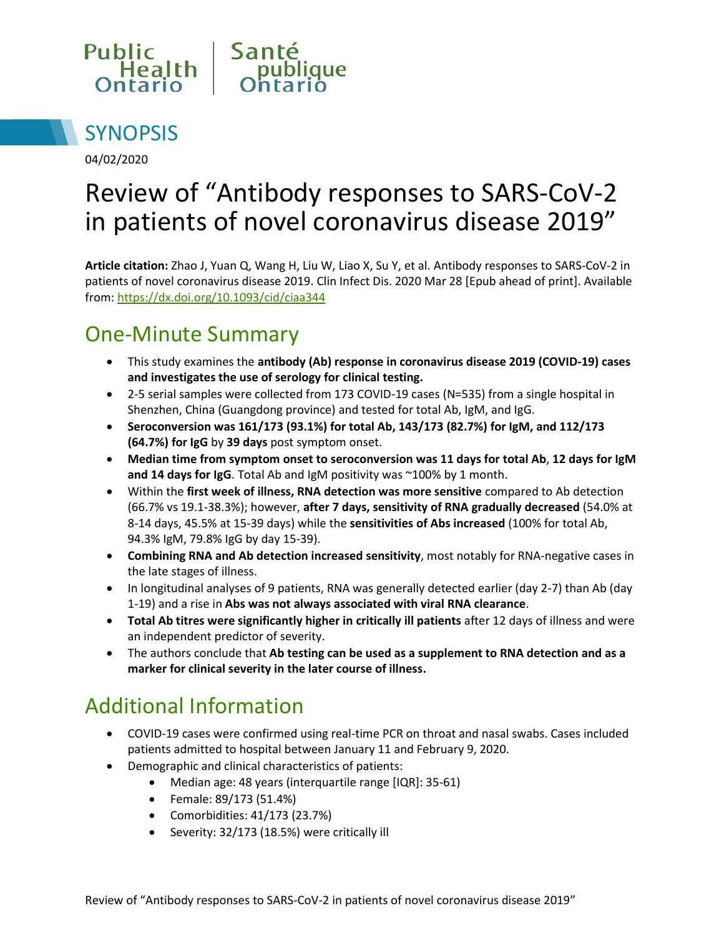



04/02/2020

# Review of "Antibody responses to SARS-CoV-2 in patients of novel coronavirus disease 2019"

**Article citation:** Zhao J, Yuan Q, Wang H, Liu W, Liao X, Su Y, et al. Antibody responses to SARS-CoV-2 in patients of novel coronavirus disease 2019. Clin Infect Dis. 2020 Mar 28 [Epub ahead of print]. Available from: <https://dx.doi.org/10.1093/cid/ciaa344>

### One-Minute Summary

- This study examines the **antibody (Ab) response in coronavirus disease 2019 (COVID-19) cases and investigates the use of serology for clinical testing.**
- 2-5 serial samples were collected from 173 COVID-19 cases (N=535) from a single hospital in Shenzhen, China (Guangdong province) and tested for total Ab, IgM, and IgG.
- **Seroconversion was 161/173 (93.1%) for total Ab, 143/173 (82.7%) for IgM, and 112/173 (64.7%) for IgG** by **39 days** post symptom onset.
- **Median time from symptom onset to seroconversion was 11 days for total Ab**, **12 days for IgM and 14 days for IgG**. Total Ab and IgM positivity was ~100% by 1 month.
- Within the **first week of illness, RNA detection was more sensitive** compared to Ab detection (66.7% vs 19.1-38.3%); however, **after 7 days, sensitivity of RNA gradually decreased** (54.0% at 8-14 days, 45.5% at 15-39 days) while the **sensitivities of Abs increased** (100% for total Ab, 94.3% IgM, 79.8% IgG by day 15-39).
- **Combining RNA and Ab detection increased sensitivity**, most notably for RNA-negative cases in the late stages of illness.
- In longitudinal analyses of 9 patients, RNA was generally detected earlier (day 2-7) than Ab (day 1-19) and a rise in **Abs was not always associated with viral RNA clearance**.
- **Total Ab titres were significantly higher in critically ill patients** after 12 days of illness and were an independent predictor of severity.
- The authors conclude that **Ab testing can be used as a supplement to RNA detection and as a marker for clinical severity in the later course of illness.**

#### Additional Information

- COVID-19 cases were confirmed using real-time PCR on throat and nasal swabs. Cases included patients admitted to hospital between January 11 and February 9, 2020.
- Demographic and clinical characteristics of patients:
	- Median age: 48 years (interquartile range [IQR]: 35-61)
	- Female: 89/173 (51.4%)
	- Comorbidities: 41/173 (23.7%)
	- Severity: 32/173 (18.5%) were critically ill